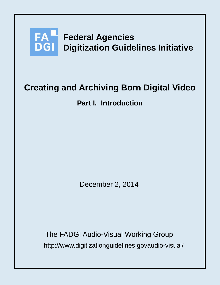

# **Creating and Archiving Born Digital Video**

**Part I. Introduction**

December 2, 2014

http://www.digitizationguidelines.govaudio-visual/ The FADGI Audio-Visual Working Group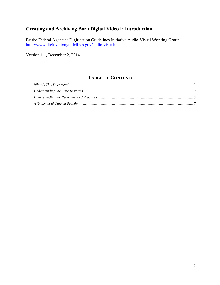## **Creating and Archiving Born Digital Video I: Introduction**

By the Federal Agencies Digitization Guidelines Initiative Audio-Visual Working Group <http://www.digitizationguidelines.gov/audio-visual/>

Version 1.1, December 2, 2014

### **TABLE OF CONTENTS**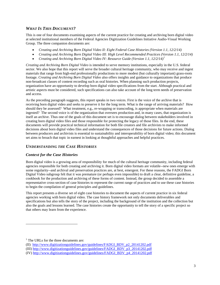#### <span id="page-2-0"></span>*WHAT IS THIS DOCUMENT?*

This is one of four documents examining aspects of the current practice for creating and archiving born digital video at selected institutional members of the Federal Agencies Digitization Guidelines Initiative Audio-Visual Working Group. The three companion documents are:

- *Creating and Archiving Born Digital Video II: Eight Federal Case Histories (Version 1.1, 12/2/14)*
- *Creating and Archiving Born Digital Video III: High Level Recommended Practices (Version 1.1, 12/2/14)*
- *Creating and Archiving Born Digital Video IV: Resource Guide (Version 1.1, 12/2/14) [1](#page-2-2)*

*Creating and Archiving Born Digital Video* is intended to serve memory institutions, especially in the U.S. federal sector. We also hope that this report will serve the broader cultural heritage community, who may receive and ingest materials that range from high-end professionally productions to more modest (but culturally important) grass-roots footage. *Creating and Archiving Born Digital Video* also offers insights and guidance to organizations that produce non-broadcast classes of content recording such as oral histories. When planning such production projects, organization have an opportunity to develop born digital video specifications from the start. Although practical and artistic aspects must be considered, such specifications can also take account of the long term needs of preservation and access.

As the preceding paragraph suggests, this report speaks in two voices. First is the voice of the archive that is receiving born digital video and seeks to preserve it for the long term. What is the range of arriving materials? How should they be assessed? What treatment, e.g., re-wrapping or transcoding, is appropriate when materials are ingested? The second voice is of the organization that oversees production and, in many cases, that organization is itself an archive. Thus one of the goals of this document set is to encourage dialog between stakeholders involved in creating born digital video files and those responsible for protecting the legacy of those files. In the end, these documents will provide practical technical information for both file creators and file archivists to make informed decisions about born digital video files and understand the consequences of those decisions for future actions. Dialog between producers and archivists is essential to sustainability and interoperability of born digital video; this document set aims to broach that topic in earnest in looking at thoughtful approaches and helpful practices.

#### <span id="page-2-1"></span>*UNDERSTANDING THE CASE HISTORIES*

#### *Context for the Case Histories*

Born digital video is a growing area of responsibility for much of the cultural heritage community, including federal agencies responsible for both creating and archiving it. Born digital video formats are volatile--new ones emerge with some regularity--and archival and preservation practices are, at best, emergent. For these reasons, the FADGI Born Digital Video subgroup felt that it was premature (or perhaps even impossible) to draft a clear, definitive guideline, a cookbook for the production and archiving of these forms of content. Instead, the group decided to assemble a representative cross-section of case histories to represent the current range of practices and to use these case histories to begin the compilation of general principles and guidelines.

This report presents a diverse set of eight case histories to document the aspects of current practice in six federal agencies working with born digital video. The case history framework not only documents deliverables and specifications but also tells the story of the project, including the background of the institution and the collection but also the goals and lessons learned. The case histories create the opportunity to tell the story of a specific project so that others may learn from the experience.

 $\overline{a}$ 

<span id="page-2-2"></span> $<sup>1</sup>$  The URLs for the three documents are:</sup>

<sup>(</sup>II) [http://www.digitizationguidelines.gov/guidelines/FADGI\\_BDV\\_p2\\_20141202.pdf](http://www.digitizationguidelines.gov/guidelines/FADGI_BDV_p2_20141202.pdf)

<sup>(</sup>III) [http://www.digitizationguidelines.gov/guidelines/FADGI\\_BDV\\_p3\\_20141202.pdf](http://www.digitizationguidelines.gov/guidelines/FADGI_BDV_p3_20141202.pdf)

<sup>(</sup>IV[\) http://www.digitizationguidelines.gov/guidelines/FADGI\\_BDV\\_p4\\_20141202.pdf](http://www.digitizationguidelines.gov/guidelines/FADGI_BDV_p4_20141202.pdf)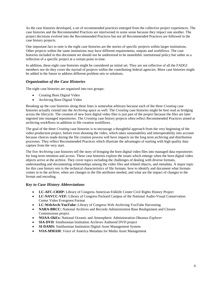As the case histories developed, a set of recommended practices emerged from the collective project experiences. The case histories and the Recommended Practices are intertwined in some sense because they impact one another. The project decisions evolved into the Recommended Practices but not all Recommended Practices are followed in the case history projects.

One important fact to note is the eight case histories are the stories of specific projects within larger institutions. Other projects within the same institutions may have different requirements, outputs and workflows. The case histories included in this document set should not be understood to be monolithic institutional policy but rather as a reflection of a specific project at a certain point in time.

In addition, these eight case histories might be considered an initial set. They are not reflective of all the FADGI members nor do they cover the myriad of projects within the contributing federal agencies. More case histories might be added in the future to address different problem sets or solutions.

#### *Organization of the Case Histories*

The eight case histories are organized into two groups:

- Creating Born Digital Video
- Archiving Born Digital Video

Breaking up the case histories along these lines is somewhat arbitrary because each of the three *Creating* case histories actually extend into the *Archiving* space as well. The *Creating* case histories might be best read as bridging across the lifecycle. The creation of new born digital video files is just part of the project because the files are later ingested into managed repositories. The *Creating* case history projects often reflect Recommended Practices aimed at archiving workflows in addition to file creation workflows.

The goal of the three *Creating* case histories is to encourage a thoughtful approach from the very beginning of the video production project, before even shooting the video, which takes sustainability and interoperability into account because choices made during the file creation process will have impacts on the long term archiving and distribution processes. They reflect Recommended Practices which illustrate the advantages of starting with high quality data capture from the very start.

The five *Archiving* case histories tell the story of bringing the born digital video files into managed data repositories for long term retention and access. These case histories explore the issues which emerge when the born digital video objects arrive at the archive. They cover topics including the challenges of dealing with diverse formats, understanding and documenting relationships among the video files and related objects, and metadata. A major topic for this case history sets is the technical characteristics of file formats: how to identify and document what formats comes in to the archive, when are changes to the file attributes needed, and what are the impact of changes to the format and encoding.

#### *Key to Case History Abbreviations*

- **LC-AFC-CRHP:** Library of Congress American Folklife Center Civil Rights History Project
- **LC-NAVCC-VEF:** Library of Congress Packard Campus of the National Audio-Visual Conservation Center Video Evergreen Format
- **LC-WebArch-YouTube:** Library of Congress Web Archiving YouTube Harvesting
- **NARA-BRCC:** National Archives and Records Administration Base Realignment and Closure Commissions project
- **NOAA-OkEx:** National Oceanic and Atmospheric Administration *Okeanus Explorer*
- **SIA-DVD**: Smithsonian Institution Archives Authored DVD project
- **SI-DAMS:** Smithsonian Institution Digital Asset Management System
- <span id="page-3-0"></span>• **VOA-MMAM**: Voice of America Metadata for Media Asset Management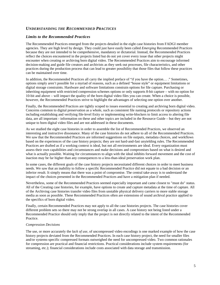#### *UNDERSTANDING THE RECOMMENDED PRACTICES*

#### *Limits to the Recommended Practices*

The Recommended Practices emerged from the projects detailed in the eight case histories from FADGI member agencies. They are high level by design. They could just have easily been called *Emerging* Recommended Practices because they are not intended to be comprehensive, mandatory or dictatorial. Instead, the Recommended Practices reflect the choices encountered in the projects listed but do not yet cover every issue that other projects might encounter when creating or archiving born digital video. The Recommended Practices aim to encourage informed decision-making and guide file creators and archivists as they seek out processes, file characteristics, and other practices during the production process that can lead to greater possibility that those files that follow these practices can be maintained over time.

In addition, the Recommended Practices all carry the implied preface of "if you have the option… ." Sometimes, options simply aren't possible for a myriad of reasons, such as a defined "house style" or equipment limitations or digital storage constraints. Hardware and software limitations constrain options for file capture. Purchasing or inheriting equipment with restricted compression schemes options or only supports 8-bit capture – with no option for 10-bit and above – will impact the quality of the born digital video files you can create. When a choice is possible, however, the Recommended Practices strive to highlight the advantages of selecting one option over another.

Finally, the Recommended Practices are tightly scoped to issues essential to creating and archiving born digital video. Concerns common to digital preservation as a whole, such as consistent file naming protocols or repository actions including establishing and verifying file-level fixity or implementing write-blockers to limit access to altering file data, are all important - information on these and other topics are included in the Resource Guide – but they are not unique to born digital video files and are not addressed in these documents.

As we studied the eight case histories in order to assemble the list of Recommended Practices, we observed an interesting and instructive dissonance. Many of the case histories do not adhere to all of the Recommended Practices. We saw that the Recommended Practices are informed suggestions on file outputs, metadata choices, and workflows based on the experiences of the case history projects; they are not hard-and-fast unyielding rules. The Recommended Practices are drafted as if a working context is ideal, but not all environments are ideal. Every organization must assess their own capabilities and circumstances and make decisions and compromises based on what is desired and what is actually possible. Waiting for circumstances to align with the ideal inhibits forward movement and the cost of inaction may be far higher than any consequences to a less-than-ideal preservation work plan.

In some cases, the different goals of the case history projects necessitated different choices in order to meet business needs. We saw that an inability to follow a specific Recommended Practice did not equate to a bad decision or an inferior result. It simply means that there was a point of compromise. The central take-away is to understand the impact of the choices presented in the Recommended Practices and have a mitigation plan if needed.

Nevertheless, some of the Recommended Practices seemed especially important and came closest to "must do" status. All of the Creating case histories, for example, have options to create and capture metadata at the time of capture. All of the Archiving case histories transfer video files from unstable physical delivery carriers to more stable storage media as soon as possible. These Recommended Practices often are extensions of sound archival practice applied to the specifics of born digital video.

Finally, certain Recommended Practices may not apply to all the case histories projects. The case histories cover different problem sets so there may not be strong overlap in all cases. A case history not being listed under a Recommended Practice should only imply that the project is not directly related to the intent of the Recommended Practice.

#### *Compression Decisions*

The use, or more accurately the *lack of use*, of uncompressed video encodings is one marked example of how the case history projects deviated from the Recommended Practices. In each case history project, the need for smaller files and/or systems-specific compressed formats outweighed the need for uncompressed video. Two common rationales for compression are practical and financial restrictions. Practical considerations include system requirements (for streaming, etc.); financial considerations include costs associated with data storage and transmission.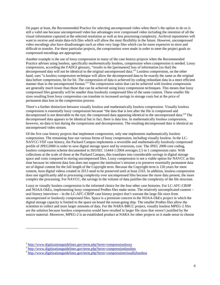On paper at least, the Recommended Practice for selecting uncompressed video when there's the option to do so is still a valid one because uncompressed video has advantages over compressed video including the retention of all the visual information captured at the selected resolution as well as less processing complexity. Archival repositories will want to receive and retain data-rich files which will allow the most flexibility in the future. However, uncompressed video encodings also have disadvantages such as often very large files which can be more expensive to store and difficult to transfer. For these particular projects, the compromises were made in order to meet the project goals so compressed encodings are appropriate.

Another example is the use of lossy compression in many of the case history projects when the Recommended Practice advises using lossless, specifically *mathematically* lossless, compression when compression is needed. Lossy compression, according the FADGI glossary, "results in the [permanent] loss of information [so that] the decompressed data will not be identical to the original uncompressed data."[2](#page-5-0) Lossless compression, on the other hand, uses "a lossless compression technique will allow the decompressed data to be exactly the same as the original data before compression, bit for bit. The compression of data is achieved by coding redundant data in a more efficient manner than in the uncompressed format."[3](#page-5-1) The compression ratios that can be achieved with lossless compression are generally much lower than those that can be achieved using lossy compression techniques. This means that lossy compressed files generally will be smaller than losslessly compressed files of the same content. These smaller file sizes resulting from lossy compression can translate to increased savings in storage costs but at the price of permanent data loss in the compression process.

There's a further distinction between visually lossless and mathematically lossless compression. Visually lossless compression is essentially lossy compression because "the data that is lost after the file is compressed and decompressed is not detectable to the eye; the compressed data appearing identical to the uncompressed data."[4](#page-5-2) The decompressed data appears to be identical but in fact, there is data loss. In mathematically lossless compression, however, no data is lost during the compression and decompression. The resulting decompressed data is identical an uncompressed video stream.

Of the five case history projects that implement compression, only one implements mathematically lossless compression. The remaining four use various forms of lossy compression, including visually lossless. In the LC-NAVCC-VEF case history, the Packard Campus implements a reversible and mathematically losslessly compressed profile of JPEG2000 in order to save digital storage space and by extension, cost. The JPEG 2000 core coding, lossless compression scheme documented in ISO/IEC 15444-1:2004 averages 2.5 to 1 compression ratio. With collections at the scale of those at the Packard Campus, this translates into considerable savings in digital storage space and costs compared to storing uncompressed files. Lossy compression is not a viable option for NAVCC at this time because its inherent data loss does not support the institution's mission a to preserve essentially permanent data set of digital content for the full length of the Copyright term. Because the Copyright term is 150 years for most content, born digital videos created in 2013 need to be preserved until at least 2163. In addition, lossless compression does not significantly add to processing complexity over uncompressed files because the more data present, the more complex the processing. For NAVCC, the savings in the volume of data justifies the complexity of the file structure.

Lossy or visually lossless compression is the informed choice for the four other case histories. For LC-AFC-CRHP and NOAA-OkEx, implementing lossy compressed ProRes files make sense. The relatively uncomplicated content – oral history interviews – in the LC-AFC-CRHP case history project don't warrant the large file sizes from uncompressed or losslessly compressed files. Space is a premium concern in the NOAA-OkEx project in which the digital storage capacity is limited to the space on board the ocean-going ship. The smaller ProRes files allow the scientists to collect and store larger amounts of data. For the NARA-BRCC project, visually lossless MPEG-2 files are the solution because lossless compression would have resulted in larger file sizes that weren't justified by the source material. Moreover, MPEG-2 is an established product at NARA for other projects so it made sense to choose

 $\overline{a}$ 

<span id="page-5-1"></span><span id="page-5-0"></span> $\frac{2 \text{ http://www.digitizationguidelines.gov/term.php?term=compressionloss}}{3 \text{ http://www.digitizationguidelines.gov/term.php?term=compressionlossless}}$ 

<span id="page-5-2"></span> $\frac{4 \text{ http://www.digitizationguidelines.gov/term.php?term=compressionvisuallylossless}}{$  $\frac{4 \text{ http://www.digitizationguidelines.gov/term.php?term=compressionvisuallylossless}}{$  $\frac{4 \text{ http://www.digitizationguidelines.gov/term.php?term=compressionvisuallylossless}}{$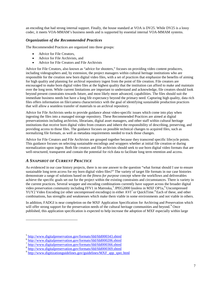an encoding that had strong internal support. Finally, the house standard at VOA is DV25. While DV25 is a lossy codec, it meets VOA-MMAM's business needs and is supported by essential internal VOA-MMAM systems.

#### *Organization of the Recommended Practices*

The Recommended Practices are organized into three groups:

- Advice for File Creators,
- Advice for File Archivists, and
- Advice for File Creators and File Archivists

Advice for File Creators, also known as "advice for shooters," focuses on providing video content producers, including videographers and, by extension, the project managers within cultural heritage institutions who are responsible for the creation new born digital video files, with a set of practices that emphasize the benefits of aiming for high quality and planning for archival repository ingest from the point of file creation. File creators are encouraged to make born digital video files at the highest quality that the institution can afford to make and maintain over the long term. While current limitations are important to understand and acknowledge, file creators should look beyond present constraints towards future, and most likely more advanced, capabilities. The files should suit the immediate business needs but have a long life expectancy beyond the primary need. Capturing high quality, data rich files offers information on file/camera characteristics with the goal of identifying sustainable production practices that will allow a seamless transfer of materials to an archival repository.

Advice for File Archivists seeks to provide guidance about video-specific issues which come into play when ingesting the files into a managed storage repository. These Recommended Practices are aimed at digital preservationists including archivists, librarians, digital asset managers, and other staff within cultural heritage institutions that receive born digital video from creators and inherit the responsibility of describing, preserving, and providing access to those files. The guidance focuses on possible technical changes to acquired files, such as normalizing file formats, as well as metadata requirements needed to track those changes.

Advice for File Creators and File Archivists are grouped together because they transcend specific lifecycle points. This guidance focuses on selecting sustainable encodings and wrappers whether at initial file creation or during normalization upon ingest. Both file creators and file archivists should seek to use born digital video formats that are well-structured, transparent and contain the potential for rich data to facilitate long term retention and access.

#### <span id="page-6-0"></span>*A SNAPSHOT OF CURRENT PRACTICE*

 $\overline{a}$ 

As evidenced in our case history projects, there is no one answer to the question "what format should I use to ensure sustainable long term access for my born digital video files?" The variety of target file formats in our case histories demonstrate a range of solutions based on the *fitness for purpose* concept where the workflows and deliverables achieve the specific goals set out for the project within the existing constraints and circumstances. There is variety in the current practices. Several wrapper and encoding combinations currently have support across the broader digital video preservation community including FFV1 in Matroska,<sup>[5](#page-6-1)</sup> JPEG2000 lossless in MXF OP1a,<sup>[6](#page-6-2)</sup> Uncompressed YUY2 Video Encoding (or other uncompressed encodings) in either AVI<sup>[7](#page-6-3)</sup> or QuickTime.<sup>[8](#page-6-4)</sup> Each of these, and other combinations, has strengths and weaknesses which make them viable in some environments and not viable in others.

In addition, FADGI is near completion on the MXF Application Specification for Archiving and Preservation which will offer strong support for the preservation needs of the cultural heritage communities and beyond.<sup>[9](#page-6-5)</sup> Once published, this application specification is expected to help increase the adoption of MXF especially within large

<span id="page-6-1"></span><sup>&</sup>lt;sup>5</sup> <http://www.digitalpreservation.gov/formats/fdd/fdd000343.shtml><br><sup>6</sup> http://www.digitalpreservation.gov/formats/fdd/fdd000206.shtml

<span id="page-6-2"></span>

<span id="page-6-3"></span><sup>&</sup>lt;sup>7</sup> <http://www.digitalpreservation.gov/formats/fdd/fdd000366.shtml>

<span id="page-6-4"></span><sup>8</sup> <http://www.digitalpreservation.gov/formats/fdd/fdd000369.shtml>

<span id="page-6-5"></span> $9 \frac{\text{http://www.digitization guidelines.gov/guidelines/MXF}$  app\_spec.html